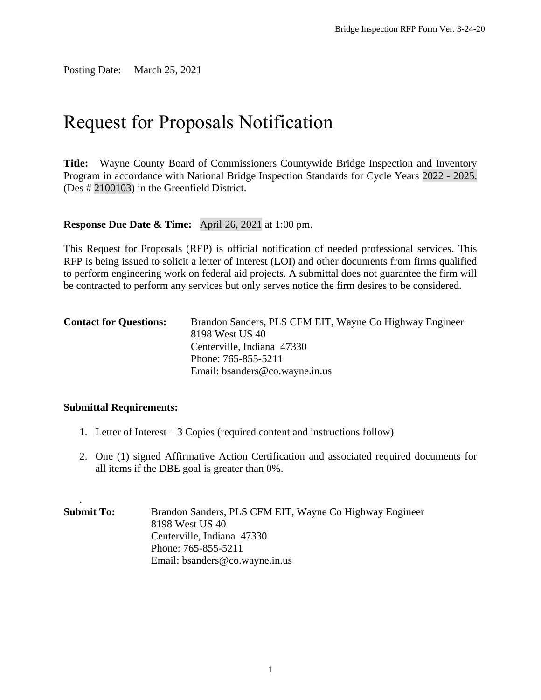Posting Date: March 25, 2021

# Request for Proposals Notification

**Title:** Wayne County Board of Commissioners Countywide Bridge Inspection and Inventory Program in accordance with National Bridge Inspection Standards for Cycle Years 2022 - 2025. (Des # 2100103) in the Greenfield District.

## **Response Due Date & Time:** April 26, 2021 at 1:00 pm.

This Request for Proposals (RFP) is official notification of needed professional services. This RFP is being issued to solicit a letter of Interest (LOI) and other documents from firms qualified to perform engineering work on federal aid projects. A submittal does not guarantee the firm will be contracted to perform any services but only serves notice the firm desires to be considered.

| <b>Contact for Questions:</b> | Brandon Sanders, PLS CFM EIT, Wayne Co Highway Engineer<br>8198 West US 40<br>Centerville, Indiana 47330 |
|-------------------------------|----------------------------------------------------------------------------------------------------------|
|                               | Phone: 765-855-5211                                                                                      |
|                               | Email: bsanders $@$ co. wayne. in. us                                                                    |

### **Submittal Requirements:**

.

- 1. Letter of Interest 3 Copies (required content and instructions follow)
- 2. One (1) signed Affirmative Action Certification and associated required documents for all items if the DBE goal is greater than 0%.
- **Submit To:** Brandon Sanders, PLS CFM EIT, Wayne Co Highway Engineer 8198 West US 40 Centerville, Indiana 47330 Phone: 765-855-5211 Email: bsanders@co.wayne.in.us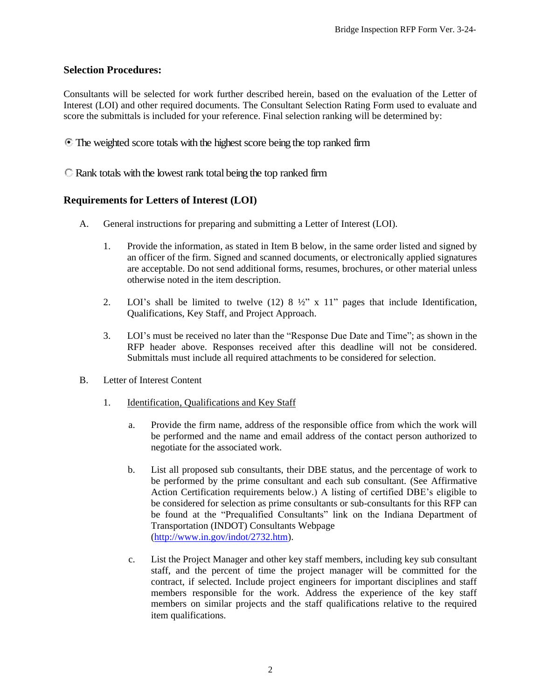### **Selection Procedures:**

Consultants will be selected for work further described herein, based on the evaluation of the Letter of Interest (LOI) and other required documents. The Consultant Selection Rating Form used to evaluate and score the submittals is included for your reference. Final selection ranking will be determined by:

The weighted score totals with the highest score being the top ranked firm

Rank totals with the lowest rank total being the top ranked firm

## **Requirements for Letters of Interest (LOI)**

- A. General instructions for preparing and submitting a Letter of Interest (LOI).
	- 1. Provide the information, as stated in Item B below, in the same order listed and signed by an officer of the firm. Signed and scanned documents, or electronically applied signatures are acceptable. Do not send additional forms, resumes, brochures, or other material unless otherwise noted in the item description.
	- 2. LOI's shall be limited to twelve  $(12)$  8  $\frac{1}{2}$ " x 11" pages that include Identification, Qualifications, Key Staff, and Project Approach.
	- 3. LOI's must be received no later than the "Response Due Date and Time"; as shown in the RFP header above. Responses received after this deadline will not be considered. Submittals must include all required attachments to be considered for selection.
- B. Letter of Interest Content
	- 1. Identification, Qualifications and Key Staff
		- a. Provide the firm name, address of the responsible office from which the work will be performed and the name and email address of the contact person authorized to negotiate for the associated work.
		- b. List all proposed sub consultants, their DBE status, and the percentage of work to be performed by the prime consultant and each sub consultant. (See Affirmative Action Certification requirements below.) A listing of certified DBE's eligible to be considered for selection as prime consultants or sub-consultants for this RFP can be found at the "Prequalified Consultants" link on the Indiana Department of Transportation (INDOT) Consultants Webpage [\(http://www.in.gov/indot/2732.htm\)](http://www.in.gov/indot/2732.htm).
		- c. List the Project Manager and other key staff members, including key sub consultant staff, and the percent of time the project manager will be committed for the contract, if selected. Include project engineers for important disciplines and staff members responsible for the work. Address the experience of the key staff members on similar projects and the staff qualifications relative to the required item qualifications.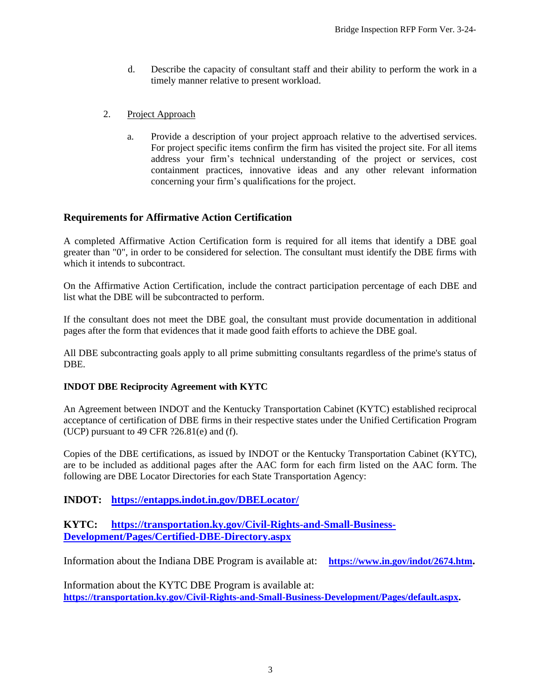- d. Describe the capacity of consultant staff and their ability to perform the work in a timely manner relative to present workload.
- 2. Project Approach
	- a. Provide a description of your project approach relative to the advertised services. For project specific items confirm the firm has visited the project site. For all items address your firm's technical understanding of the project or services, cost containment practices, innovative ideas and any other relevant information concerning your firm's qualifications for the project.

## **Requirements for Affirmative Action Certification**

A completed Affirmative Action Certification form is required for all items that identify a DBE goal greater than "0", in order to be considered for selection. The consultant must identify the DBE firms with which it intends to subcontract.

On the Affirmative Action Certification, include the contract participation percentage of each DBE and list what the DBE will be subcontracted to perform.

If the consultant does not meet the DBE goal, the consultant must provide documentation in additional pages after the form that evidences that it made good faith efforts to achieve the DBE goal.

All DBE subcontracting goals apply to all prime submitting consultants regardless of the prime's status of DBE.

### **INDOT DBE Reciprocity Agreement with KYTC**

An Agreement between INDOT and the Kentucky Transportation Cabinet (KYTC) established reciprocal acceptance of certification of DBE firms in their respective states under the Unified Certification Program (UCP) pursuant to 49 CFR  $?26.81(e)$  and (f).

Copies of the DBE certifications, as issued by INDOT or the Kentucky Transportation Cabinet (KYTC), are to be included as additional pages after the AAC form for each firm listed on the AAC form. The following are DBE Locator Directories for each State Transportation Agency:

## **INDOT: <https://entapps.indot.in.gov/DBELocator/>**

## **KYTC: [https://transportation.ky.gov/Civil-Rights-and-Small-Business-](https://transportation.ky.gov/Civil-Rights-and-Small-Business-Development/Pages/Certified-DBE-Directory.aspx)[Development/Pages/Certified-DBE-Directory.aspx](https://transportation.ky.gov/Civil-Rights-and-Small-Business-Development/Pages/Certified-DBE-Directory.aspx)**

Information about the Indiana DBE Program is available at: **<https://www.in.gov/indot/2674.htm>.**

Information about the KYTC DBE Program is available at: **[https://transportation.ky.gov/Civil-Rights-and-Small-Business-Development/Pages/default.aspx.](https://transportation.ky.gov/Civil-Rights-and-Small-Business-Development/Pages/default.aspx)**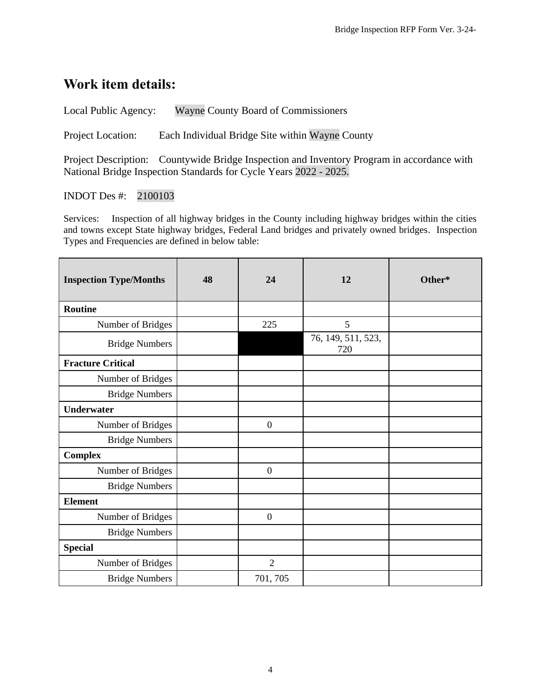## **Work item details:**

Local Public Agency: Wayne County Board of Commissioners

Project Location: Each Individual Bridge Site within Wayne County

Project Description: Countywide Bridge Inspection and Inventory Program in accordance with National Bridge Inspection Standards for Cycle Years 2022 - 2025.

## INDOT Des #: 2100103

Services: Inspection of all highway bridges in the County including highway bridges within the cities and towns except State highway bridges, Federal Land bridges and privately owned bridges. Inspection Types and Frequencies are defined in below table:

| <b>Inspection Type/Months</b> | 48 | 24               | 12                        | Other* |
|-------------------------------|----|------------------|---------------------------|--------|
| <b>Routine</b>                |    |                  |                           |        |
| Number of Bridges             |    | 225              | 5                         |        |
| <b>Bridge Numbers</b>         |    |                  | 76, 149, 511, 523,<br>720 |        |
| <b>Fracture Critical</b>      |    |                  |                           |        |
| Number of Bridges             |    |                  |                           |        |
| <b>Bridge Numbers</b>         |    |                  |                           |        |
| <b>Underwater</b>             |    |                  |                           |        |
| Number of Bridges             |    | $\boldsymbol{0}$ |                           |        |
| <b>Bridge Numbers</b>         |    |                  |                           |        |
| <b>Complex</b>                |    |                  |                           |        |
| Number of Bridges             |    | $\boldsymbol{0}$ |                           |        |
| <b>Bridge Numbers</b>         |    |                  |                           |        |
| <b>Element</b>                |    |                  |                           |        |
| Number of Bridges             |    | $\overline{0}$   |                           |        |
| <b>Bridge Numbers</b>         |    |                  |                           |        |
| <b>Special</b>                |    |                  |                           |        |
| Number of Bridges             |    | $\overline{2}$   |                           |        |
| <b>Bridge Numbers</b>         |    | 701, 705         |                           |        |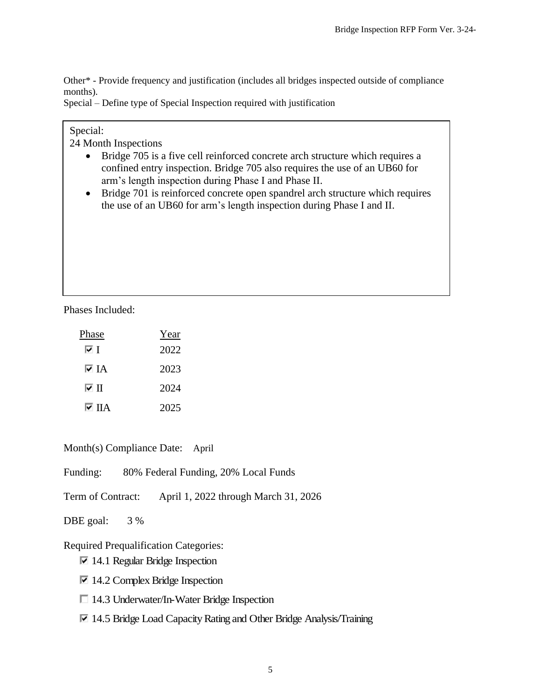Other\* - Provide frequency and justification (includes all bridges inspected outside of compliance months).

Special – Define type of Special Inspection required with justification

## Special:

24 Month Inspections

- Bridge 705 is a five cell reinforced concrete arch structure which requires a confined entry inspection. Bridge 705 also requires the use of an UB60 for arm's length inspection during Phase I and Phase II.
- Bridge 701 is reinforced concrete open spandrel arch structure which requires the use of an UB60 for arm's length inspection during Phase I and II.

Phases Included:

| Phase | Year |
|-------|------|
| ⊽⊺    | 2022 |
| দ IA  | 2023 |
| ⊽ ∏   | 2024 |
| I⊽ ПА | 2025 |

Month(s) Compliance Date:April

Funding: 80% Federal Funding, 20% Local Funds

Term of Contract: April 1, 2022 through March 31, 2026

DBE goal: 3 %

Required Prequalification Categories:

 $\overline{\triangleright}$  14.1 Regular Bridge Inspection

- $\overline{\triangledown}$  14.2 Complex Bridge Inspection
- □ 14.3 Underwater/In-Water Bridge Inspection
- $\nabla$  14.5 Bridge Load Capacity Rating and Other Bridge Analysis/Training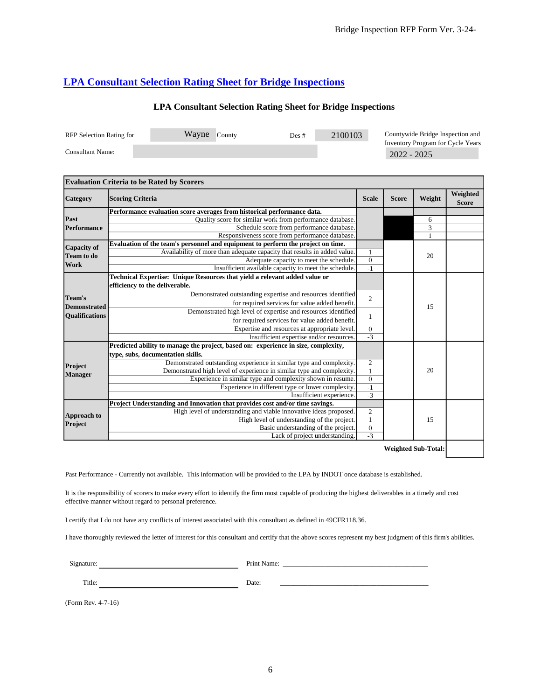## **[LPA Consultant Selection Rating Sheet for Bridge Inspections](http://www.in.gov/indot/files/LPA_Consultant_Selection_Rating_Sheet_for_Bridge_Inspections.xls)**

## **LPA Consultant Selection Rating Sheet for Bridge Inspections**

| <b>RFP</b> Selection Rating for | Wavne | County | Des # | 2100103 | Countywide Bridge Inspection and                   |
|---------------------------------|-------|--------|-------|---------|----------------------------------------------------|
| Consultant Name:                |       |        |       |         | Inventory Program for Cycle Years<br>$2022 - 2025$ |

|                                                        | <b>Evaluation Criteria to be Rated by Scorers</b>                                  |                  |              |        |                          |
|--------------------------------------------------------|------------------------------------------------------------------------------------|------------------|--------------|--------|--------------------------|
| Category                                               | <b>Scoring Criteria</b>                                                            | <b>Scale</b>     | <b>Score</b> | Weight | Weighted<br><b>Score</b> |
|                                                        | Performance evaluation score averages from historical performance data.            |                  |              |        |                          |
| Past                                                   | Quality score for similar work from performance database.                          |                  |              | 6      |                          |
| Performance                                            | Schedule score from performance database.                                          |                  |              | 3      |                          |
|                                                        | Responsiveness score from performance database.                                    |                  |              |        |                          |
| <b>Capacity of</b>                                     | Evaluation of the team's personnel and equipment to perform the project on time.   |                  |              |        |                          |
| <b>Team to do</b>                                      | Availability of more than adequate capacity that results in added value.           |                  |              | 20     |                          |
| Work                                                   | Adequate capacity to meet the schedule.                                            | $\overline{0}$   |              |        |                          |
|                                                        | Insufficient available capacity to meet the schedule.                              | $-1$             |              |        |                          |
|                                                        | Technical Expertise: Unique Resources that yield a relevant added value or         |                  |              |        |                          |
|                                                        | efficiency to the deliverable.                                                     |                  |              |        |                          |
| Team's<br><b>Demonstrated</b><br><b>Oualifications</b> | Demonstrated outstanding expertise and resources identified                        | $\overline{2}$   |              |        |                          |
|                                                        | for required services for value added benefit.                                     |                  |              | 15     |                          |
|                                                        | Demonstrated high level of expertise and resources identified                      | $\mathbf{1}$     |              |        |                          |
|                                                        | for required services for value added benefit.                                     |                  |              |        |                          |
|                                                        | Expertise and resources at appropriate level.                                      | $\mathbf{0}$     |              |        |                          |
|                                                        | Insufficient expertise and/or resources.                                           | $-3$             |              |        |                          |
|                                                        | Predicted ability to manage the project, based on: experience in size, complexity, |                  |              |        |                          |
|                                                        | type, subs, documentation skills.                                                  |                  |              |        |                          |
| Project                                                | Demonstrated outstanding experience in similar type and complexity.                | $\overline{2}$   |              |        |                          |
|                                                        | Demonstrated high level of experience in similar type and complexity.              | $\mathbf{1}$     |              | 20     |                          |
| <b>Manager</b>                                         | Experience in similar type and complexity shown in resume.                         | $\overline{0}$   |              |        |                          |
|                                                        | Experience in different type or lower complexity.                                  | $-1$             |              |        |                          |
|                                                        | Insufficient experience.                                                           | $-3$             |              |        |                          |
|                                                        | Project Understanding and Innovation that provides cost and/or time savings.       |                  |              |        |                          |
| Approach to<br>Project                                 | High level of understanding and viable innovative ideas proposed.                  | 2                |              |        |                          |
|                                                        | High level of understanding of the project.                                        | $\mathbf{1}$     |              | 15     |                          |
|                                                        | Basic understanding of the project.                                                | $\boldsymbol{0}$ |              |        |                          |
|                                                        | Lack of project understanding.                                                     | $-3$             |              |        |                          |

**Weighted Sub-Total:**

Past Performance - Currently not available. This information will be provided to the LPA by INDOT once database is established.

It is the responsibility of scorers to make every effort to identify the firm most capable of producing the highest deliverables in a timely and cost effective manner without regard to personal preference.

I certify that I do not have any conflicts of interest associated with this consultant as defined in 49CFR118.36.

I have thoroughly reviewed the letter of interest for this consultant and certify that the above scores represent my best judgment of this firm's abilities.

Signature: Print Name: \_\_\_\_\_\_\_\_\_\_\_\_\_\_\_\_\_\_\_\_\_\_\_\_\_\_\_\_\_\_\_\_\_\_\_\_\_\_\_\_\_\_

Title: Date: \_\_\_\_\_\_\_\_\_\_\_\_\_\_\_\_\_\_\_\_\_\_\_\_\_\_\_\_\_\_\_\_\_\_\_\_\_\_\_\_\_\_\_

(Form Rev. 4-7-16)